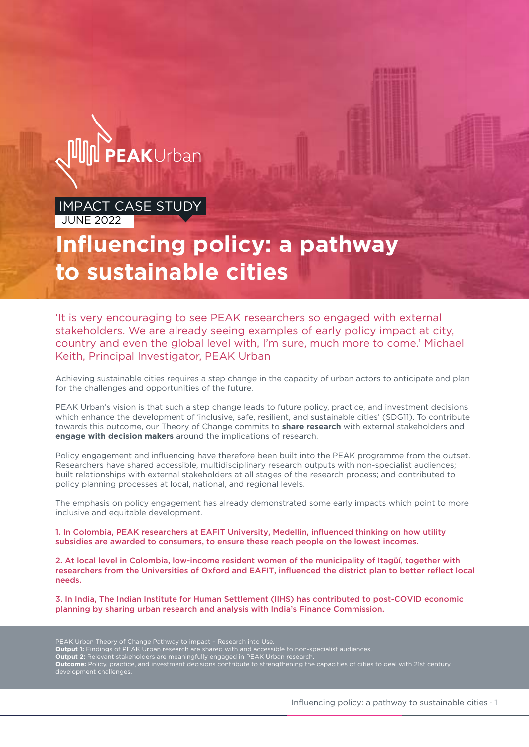

### **MPACT CASE STUDY JUNE 2022**

# **Influencing policy: a pathway to sustainable cities**

'It is very encouraging to see PEAK researchers so engaged with external stakeholders. We are already seeing examples of early policy impact at city, country and even the global level with, I'm sure, much more to come.' Michael Keith, Principal Investigator, PEAK Urban

Achieving sustainable cities requires a step change in the capacity of urban actors to anticipate and plan for the challenges and opportunities of the future.

PEAK Urban's vision is that such a step change leads to future policy, practice, and investment decisions which enhance the development of 'inclusive, safe, resilient, and sustainable cities' (SDG11). To contribute towards this outcome, our Theory of Change commits to **share research** with external stakeholders and **engage with decision makers** around the implications of research.

Policy engagement and influencing have therefore been built into the PEAK programme from the outset. Researchers have shared accessible, multidisciplinary research outputs with non-specialist audiences; built relationships with external stakeholders at all stages of the research process; and contributed to policy planning processes at local, national, and regional levels.

The emphasis on policy engagement has already demonstrated some early impacts which point to more inclusive and equitable development.

1. In Colombia, PEAK researchers at EAFIT University, Medellin, influenced thinking on how utility subsidies are awarded to consumers, to ensure these reach people on the lowest incomes.

2. At local level in Colombia, low-income resident women of the municipality of Itagüí, together with researchers from the Universities of Oxford and EAFIT, influenced the district plan to better reflect local needs.

3. In India, The Indian Institute for Human Settlement (IIHS) has contributed to post-COVID economic planning by sharing urban research and analysis with India's Finance Commission.

PEAK Urban Theory of Change Pathway to impact – Research into Use.

- **Output 1:** Findings of PEAK Urban research are shared with and accessible to non-specialist audiences.
- **Output 2:** Relevant stakeholders are meaningfully engaged in PEAK Urban research.

**Outcome:** Policy, practice, and investment decisions contribute to strengthening the capacities of cities to deal with 21st century development challenges.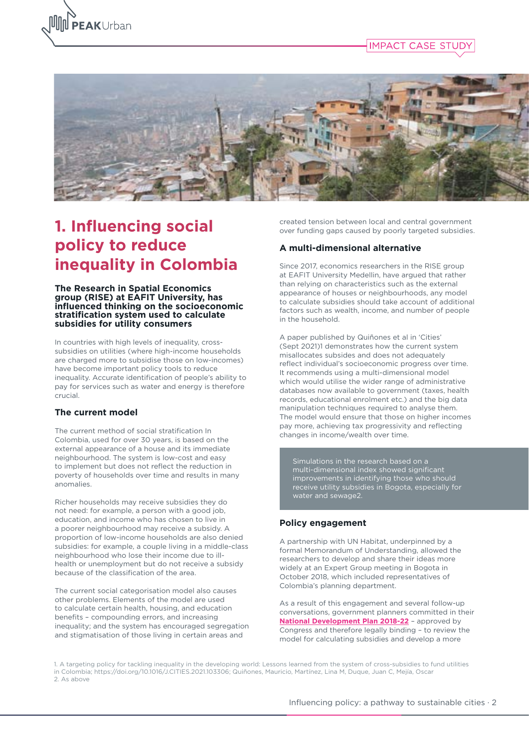





## **1. Influencing social policy to reduce inequality in Colombia**

#### **The Research in Spatial Economics group (RISE) at EAFIT University, has influenced thinking on the socioeconomic stratification system used to calculate subsidies for utility consumers**

In countries with high levels of inequality, crosssubsidies on utilities (where high-income households are charged more to subsidise those on low-incomes) have become important policy tools to reduce inequality. Accurate identification of people's ability to pay for services such as water and energy is therefore crucial.

#### **The current model**

The current method of social stratification In Colombia, used for over 30 years, is based on the external appearance of a house and its immediate neighbourhood. The system is low-cost and easy to implement but does not reflect the reduction in poverty of households over time and results in many anomalies.

Richer households may receive subsidies they do not need: for example, a person with a good job, education, and income who has chosen to live in a poorer neighbourhood may receive a subsidy. A proportion of low-income households are also denied subsidies: for example, a couple living in a middle-class neighbourhood who lose their income due to illhealth or unemployment but do not receive a subsidy because of the classification of the area.

The current social categorisation model also causes other problems. Elements of the model are used to calculate certain health, housing, and education benefits – compounding errors, and increasing inequality; and the system has encouraged segregation and stigmatisation of those living in certain areas and

created tension between local and central government over funding gaps caused by poorly targeted subsidies.

#### **A multi-dimensional alternative**

Since 2017, economics researchers in the RISE group at EAFIT University Medellin, have argued that rather than relying on characteristics such as the external appearance of houses or neighbourhoods, any model to calculate subsidies should take account of additional factors such as wealth, income, and number of people in the household.

A paper published by Quiñones et al in 'Cities' (Sept 2021)1 demonstrates how the current system misallocates subsides and does not adequately reflect individual's socioeconomic progress over time. It recommends using a multi-dimensional model which would utilise the wider range of administrative databases now available to government (taxes, health records, educational enrolment etc.) and the big data manipulation techniques required to analyse them. The model would ensure that those on higher incomes pay more, achieving tax progressivity and reflecting changes in income/wealth over time.

multi-dimensional index showed significant improvements in identifying those who should receive utility subsidies in Bogota, especially for water and sewage2.

#### **Policy engagement**

A partnership with UN Habitat, underpinned by a formal Memorandum of Understanding, allowed the researchers to develop and share their ideas more widely at an Expert Group meeting in Bogota in October 2018, which included representatives of Colombia's planning department.

As a result of this engagement and several follow-up conversations, government planners committed in their **[National Development Plan 2018-22](https://bit.ly/3xosLfa)** – approved by Congress and therefore legally binding – to review the model for calculating subsidies and develop a more

1. A targeting policy for tackling inequality in the developing world: Lessons learned from the system of cross-subsidies to fund utilities in Colombia; https://doi.org/10.1016/J.CITIES.2021.103306; Quiñones, Mauricio, Martínez, Lina M, Duque, Juan C, Mejía, Oscar 2. As above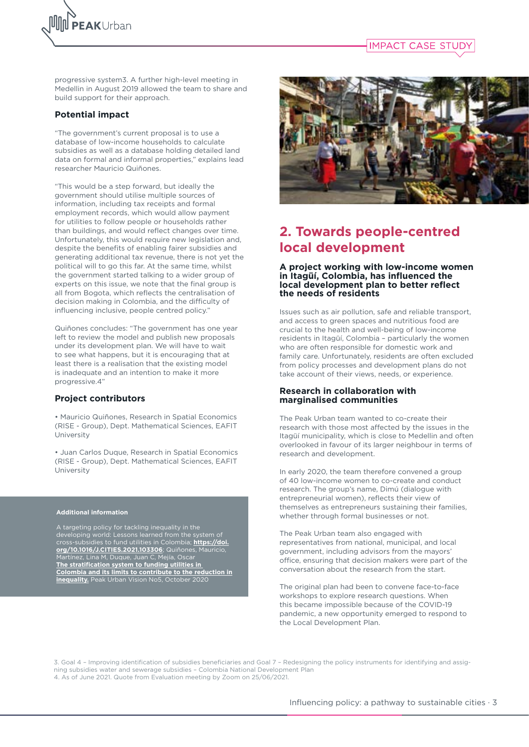



progressive system3. A further high-level meeting in Medellin in August 2019 allowed the team to share and build support for their approach.

#### **Potential impact**

"The government's current proposal is to use a database of low-income households to calculate subsidies as well as a database holding detailed land data on formal and informal properties," explains lead researcher Mauricio Quiñones.

"This would be a step forward, but ideally the government should utilise multiple sources of information, including tax receipts and formal employment records, which would allow payment for utilities to follow people or households rather than buildings, and would reflect changes over time. Unfortunately, this would require new legislation and, despite the benefits of enabling fairer subsidies and generating additional tax revenue, there is not yet the political will to go this far. At the same time, whilst the government started talking to a wider group of experts on this issue, we note that the final group is all from Bogota, which reflects the centralisation of decision making in Colombia, and the difficulty of influencing inclusive, people centred policy."

Quiñones concludes: "The government has one year left to review the model and publish new proposals under its development plan. We will have to wait to see what happens, but it is encouraging that at least there is a realisation that the existing model is inadequate and an intention to make it more progressive.4"

#### **Project contributors**

• Mauricio Quiñones, Research in Spatial Economics (RISE - Group), Dept. Mathematical Sciences, EAFIT University

• Juan Carlos Duque, Research in Spatial Economics (RISE - Group), Dept. Mathematical Sciences, EAFIT University

#### **Additional information**

A targeting policy for tackling inequality in the developing world: Lessons learned from the system of cross-subsidies to fund utilities in Colombia; **[https://doi.](https://doi.org/10.1016/J.CITIES.2021.103306) [org/10.1016/J.CITIES.2021.103306](https://doi.org/10.1016/J.CITIES.2021.103306)**; Quiñones, Mauricio, Martínez, Lina M, Duque, Juan C, Mejía, Oscar **[The stratification system to funding utilities in](https://bit.ly/3xqkHur)  [Colombia and its limits to contribute to the reduction in](https://bit.ly/3xqkHur)  [inequality.](https://bit.ly/3xqkHur)** Peak Urban Vision No5, October 2020



## **2. Towards people-centred local development**

#### **A project working with low-income women in Itagüí, Colombia, has influenced the local development plan to better reflect the needs of residents**

Issues such as air pollution, safe and reliable transport, and access to green spaces and nutritious food are crucial to the health and well-being of low-income residents in Itagüí, Colombia – particularly the women who are often responsible for domestic work and family care. Unfortunately, residents are often excluded from policy processes and development plans do not take account of their views, needs, or experience.

#### **Research in collaboration with marginalised communities**

The Peak Urban team wanted to co-create their research with those most affected by the issues in the Itagüí municipality, which is close to Medellin and often overlooked in favour of its larger neighbour in terms of research and development.

In early 2020, the team therefore convened a group of 40 low-income women to co-create and conduct research. The group's name, Dimú (dialogue with entrepreneurial women), reflects their view of themselves as entrepreneurs sustaining their families, whether through formal businesses or not.

The Peak Urban team also engaged with representatives from national, municipal, and local government, including advisors from the mayors' office, ensuring that decision makers were part of the conversation about the research from the start.

The original plan had been to convene face-to-face workshops to explore research questions. When this became impossible because of the COVID-19 pandemic, a new opportunity emerged to respond to the Local Development Plan.

3. Goal 4 – Improving identification of subsidies beneficiaries and Goal 7 – Redesigning the policy instruments for identifying and assigning subsidies water and sewerage subsidies – Colombia National Development Plan 4. As of June 2021. Quote from Evaluation meeting by Zoom on 25/06/2021.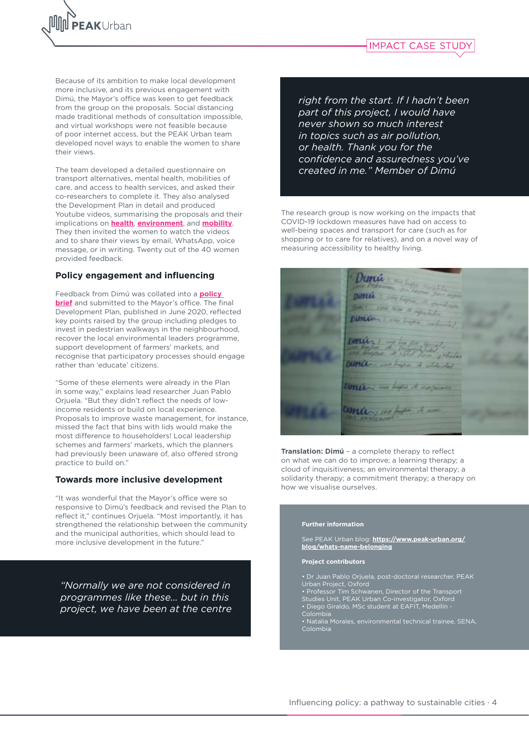



Because of its ambition to make local development more inclusive, and its previous engagement with Dimú, the Mayor's office was keen to get feedback from the group on the proposals. Social distancing made traditional methods of consultation impossible, and virtual workshops were not feasible because of poor internet access, but the PEAK Urban team developed novel ways to enable the women to share their views.

The team developed a detailed questionnaire on transport alternatives, mental health, mobilities of care, and access to health services, and asked their co-researchers to complete it. They also analysed the Development Plan in detail and produced Youtube videos, summarising the proposals and their implications on **[health](https://bit.ly/3cPBdKU)**, **[environment](https://bit.ly/2ZreQZ8)**, and **[mobility](https://bit.ly/3D0QjYC)**. They then invited the women to watch the videos and to share their views by email, WhatsApp, voice message, or in writing. Twenty out of the 40 women provided feedback.

#### **Policy engagement and influencing**

Feedback from Dimú was collated into a **[policy](https://bit.ly/3DLTWna)  [brief](https://bit.ly/3DLTWna)** and submitted to the Mayor's office. The final Development Plan, published in June 2020, reflected key points raised by the group including pledges to invest in pedestrian walkways in the neighbourhood, recover the local environmental leaders programme, support development of farmers' markets, and recognise that participatory processes should engage rather than 'educate' citizens.

"Some of these elements were already in the Plan in some way," explains lead researcher Juan Pablo Orjuela. "But they didn't reflect the needs of lowincome residents or build on local experience. Proposals to improve waste management, for instance, missed the fact that bins with lids would make the most difference to householders! Local leadership schemes and farmers' markets, which the planners had previously been unaware of, also offered strong practice to build on."

#### **Towards more inclusive development**

"It was wonderful that the Mayor's office were so responsive to Dimú's feedback and revised the Plan to reflect it," continues Orjuela. "Most importantly, it has strengthened the relationship between the community and the municipal authorities, which should lead to more inclusive development in the future."

*"Normally we are not considered in programmes like these… but in this project, we have been at the centre* 

*right from the start. If I hadn't been part of this project, I would have never shown so much interest in topics such as air pollution, or health. Thank you for the confidence and assuredness you've created in me." Member of Dimú* 

The research group is now working on the impacts that COVID-19 lockdown measures have had on access to well-being spaces and transport for care (such as for shopping or to care for relatives), and on a novel way of measuring accessibility to healthy living.



**Translation: Dimú** – a complete therapy to reflect on what we can do to improve; a learning therapy; a cloud of inquisitiveness; an environmental therapy; a solidarity therapy; a commitment therapy; a therapy on how we visualise ourselves.

#### **Further information**

See PEAK Urban blog: **[https://www.peak-urban.org/](https://www.peak-urban.org/blog/whats-name-belonging) [blog/whats-name-belonging](https://www.peak-urban.org/blog/whats-name-belonging)**

#### **Project contributors**

- 
- Professor Tim Schwanen, Director of the Transport Studies Unit, PEAK Urban Co-investigator, Oxford
- Diego Giraldo, MSc student at EAFIT, Medellín Colombia
- Natalia Morales, environmental technical trainee, SENA, Colombia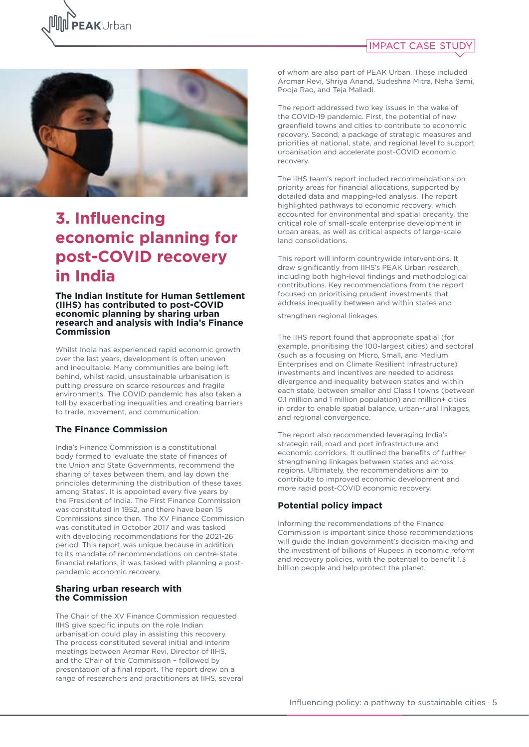





## **3. Influencing economic planning for post-COVID recovery in India**

#### **The Indian Institute for Human Settlement (IIHS) has contributed to post-COVID economic planning by sharing urban research and analysis with India's Finance Commission**

Whilst India has experienced rapid economic growth over the last years, development is often uneven and inequitable. Many communities are being left behind, whilst rapid, unsustainable urbanisation is putting pressure on scarce resources and fragile environments. The COVID pandemic has also taken a toll by exacerbating inequalities and creating barriers to trade, movement, and communication.

#### **The Finance Commission**

India's Finance Commission is a constitutional body formed to 'evaluate the state of finances of the Union and State Governments, recommend the sharing of taxes between them, and lay down the principles determining the distribution of these taxes among States'. It is appointed every five years by the President of India. The First Finance Commission was constituted in 1952, and there have been 15 Commissions since then. The XV Finance Commission was constituted in October 2017 and was tasked with developing recommendations for the 2021-26 period. This report was unique because in addition to its mandate of recommendations on centre-state financial relations, it was tasked with planning a postpandemic economic recovery.

#### **Sharing urban research with the Commission**

The Chair of the XV Finance Commission requested IIHS give specific inputs on the role Indian urbanisation could play in assisting this recovery. The process constituted several initial and interim meetings between Aromar Revi, Director of IIHS, and the Chair of the Commission – followed by presentation of a final report. The report drew on a range of researchers and practitioners at IIHS, several of whom are also part of PEAK Urban. These included Aromar Revi, Shriya Anand, Sudeshna Mitra, Neha Sami, Pooja Rao, and Teja Malladi.

The report addressed two key issues in the wake of the COVID-19 pandemic. First, the potential of new greenfield towns and cities to contribute to economic recovery. Second, a package of strategic measures and priorities at national, state, and regional level to support urbanisation and accelerate post-COVID economic recovery.

The IIHS team's report included recommendations on priority areas for financial allocations, supported by detailed data and mapping-led analysis. The report highlighted pathways to economic recovery, which accounted for environmental and spatial precarity, the critical role of small-scale enterprise development in urban areas, as well as critical aspects of large-scale land consolidations.

This report will inform countrywide interventions. It drew significantly from IIHS's PEAK Urban research, including both high-level findings and methodological contributions. Key recommendations from the report focused on prioritising prudent investments that address inequality between and within states and

strengthen regional linkages.

The IIHS report found that appropriate spatial (for example, prioritising the 100-largest cities) and sectoral (such as a focusing on Micro, Small, and Medium Enterprises and on Climate Resilient Infrastructure) investments and incentives are needed to address divergence and inequality between states and within each state, between smaller and Class I towns (between 0.1 million and 1 million population) and million+ cities in order to enable spatial balance, urban-rural linkages, and regional convergence.

The report also recommended leveraging India's strategic rail, road and port infrastructure and economic corridors. It outlined the benefits of further strengthening linkages between states and across regions. Ultimately, the recommendations aim to contribute to improved economic development and more rapid post-COVID economic recovery.

#### **Potential policy impact**

Informing the recommendations of the Finance Commission is important since those recommendations will guide the Indian government's decision making and the investment of billions of Rupees in economic reform and recovery policies, with the potential to benefit 1.3 billion people and help protect the planet.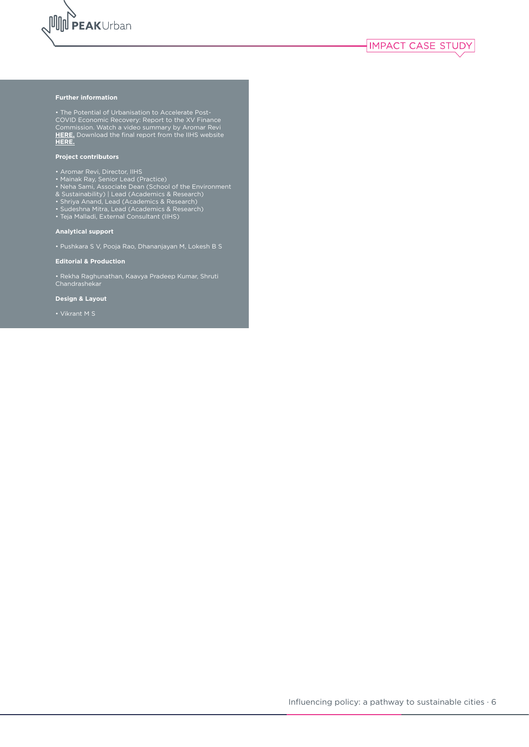

#### **Further information**

• The Potential of Urbanisation to Accelerate Post-COVID Economic Recovery: Report to the XV Finance Commission. Watch a video summary by Aromar Revi **[HERE.](https://bit.ly/3Af1ygu)** Download the final report from the IIHS website **[HERE.](https://iihs.co.in)**

#### **Project contributors**

- Aromar Revi, Director, IIHS
- Mainak Ray, Senior Lead (Practice)
- Neha Sami, Associate Dean (School of the Environment
- & Sustainability) | Lead (Academics & Research)
- Shriya Anand, Lead (Academics & Research)
- Sudeshna Mitra, Lead (Academics & Research)
- Teja Malladi, External Consultant (IIHS)

#### **Analytical support**

• Pushkara S V, Pooja Rao, Dhananjayan M, Lokesh B S

**Editorial & Production**

• Rekha Raghunathan, Kaavya Pradeep Kumar, Shruti Chandrashekar

**Design & Layout**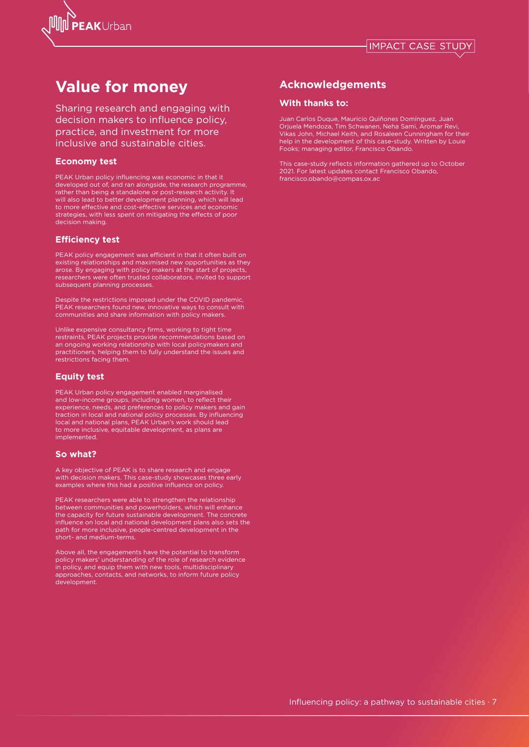

## **Value for money**

Sharing research and engaging with decision makers to influence policy, practice, and investment for more inclusive and sustainable cities.

#### **Economy test**

PEAK Urban policy influencing was economic in that it developed out of, and ran alongside, the research programme, rather than being a standalone or post-research activity. It will also lead to better development planning, which will lead to more effective and cost-effective services and economic strategies, with less spent on mitigating the effects of poor decision making.

#### **Efficiency test**

PEAK policy engagement was efficient in that it often built on existing relationships and maximised new opportunities as they arose. By engaging with policy makers at the start of projects, researchers were often trusted collaborators, invited to support subsequent planning processes.

Despite the restrictions imposed under the COVID pandemic, PEAK researchers found new, innovative ways to consult with communities and share information with policy makers.

Unlike expensive consultancy firms, working to tight time restraints, PEAK projects provide recommendations based on an ongoing working relationship with local policymakers and practitioners, helping them to fully understand the issues and restrictions facing them.

#### **Equity test**

PEAK Urban policy engagement enabled marginalised and low-income groups, including women, to reflect their experience, needs, and preferences to policy makers and gain traction in local and national policy processes. By influencing local and national plans, PEAK Urban's work should lead to more inclusive, equitable development, as plans are implemented.

#### **So what?**

A key objective of PEAK is to share research and engage with decision makers. This case-study showcases three early examples where this had a positive influence on policy.

PEAK researchers were able to strengthen the relationship between communities and powerholders, which will enhance the capacity for future sustainable development. The concrete influence on local and national development plans also sets the path for more inclusive, people-centred development in the short- and medium-terms.

Above all, the engagements have the potential to transform policy makers' understanding of the role of research evidence in policy, and equip them with new tools, multidisciplinary approaches, contacts, and networks, to inform future policy development.

### **Acknowledgements**

#### **With thanks to:**

Juan Carlos Duque, Mauricio Quiñones Domínguez, Juan Orjuela Mendoza, Tim Schwanen, Neha Sami, Aromar Revi, Vikas John, Michael Keith, and Rosaleen Cunningham for their help in the development of this case-study. Written by Louie Fooks; managing editor, Francisco Obando.

This case-study reflects information gathered up to October 2021. For latest updates contact Francisco Obando, francisco.obando@compas.ox.ac